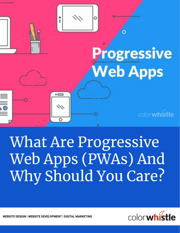

# What Are Progressive Web Apps (PWAs) And Why Should You Care?



 **WEBSITE DESIGN | WEBSITE DEVELOPMENT | DIGITAL MARKETING**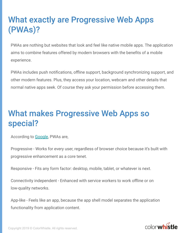# **What exactly are Progressive Web Apps** (PWAs)?

PWAs are nothing but websites that look and feel like native mobile apps. The application aims to combine features offered by modern browsers with the benefits of a mobile experience.

PWAs includes push notifications, offline support, background synchronizing support, and other modern features. Plus, they access your location, webcam and other details that normal native apps seek. Of course they ask your permission before accessing them.

### **What makes Progressive Web Apps so** special?

According to [Google](https://developers.google.com/web/fundamentals/codelabs/your-first-pwapp/), PWAs are,

Progressive - Works for every user, regardless of browser choice because it's built with progressive enhancement as a core tenet.

Responsive - Fits any form factor: desktop, mobile, tablet, or whatever is next.

Connectivity independent - Enhanced with service workers to work offline or on low-quality networks.

App-like - Feels like an app, because the app shell model separates the application functionality from application content.

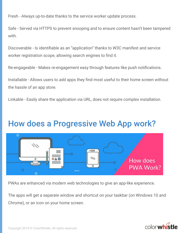Fresh - Always up-to-date thanks to the service worker update process.

Safe - Served via HTTPS to prevent snooping and to ensure content hasn't been tampered with.

Discoverable - Is identifiable as an "application" thanks to W3C manifest and service worker registration scope, allowing search engines to find it.

Re-engageable - Makes re-engagement easy through features like push notifications.

Installable - Allows users to add apps they find most useful to their home screen without the hassle of an app store.

Linkable - Easily share the application via URL, does not require complex installation.

### How does a Progressive Web App work?



PWAs are enhanced via modern web technologies to give an app-like experience.

The apps will get a separate window and shortcut on your taskbar (on Windows 10 and Chrome), or an icon on your home screen.

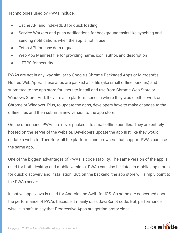Technologies used by PWAs include,

- Cache API and IndexedDB for quick loading
- Service Workers and push notifications for background tasks like synching and sending notifications when the app is not in use
- Fetch API for easy data request
- Web App Manifest file for providing name, icon, author, and description
- HTTPS for security

PWAs are not in any way similar to Google's Chrome Packaged Apps or Microsoft's Hosted Web Apps. These apps are packed as a file (aka small offline bundles) and submitted to the app store for users to install and use from Chrome Web Store or Windows Store. And, they are also platform specific where they would either work on Chrome or Windows. Plus, to update the apps, developers have to make changes to the offline files and then submit a new version to the app store.

On the other hand, PWAs are never packed into small offline bundles. They are entirely hosted on the server of the website. Developers update the app just like they would update a website. Therefore, all the platforms and browsers that support PWAs can use the same app.

One of the biggest advantages of PWAs is code stability. The same version of the app is used for both desktop and mobile versions. PWAs can also be listed in mobile app stores for quick discovery and installation. But, on the backend, the app store will simply point to the PWAs server.

In native apps, Java is used for Android and Swift for iOS. So some are concerned about the performance of PWAs because it mainly uses JavaScript code. But, performance wise, it is safe to say that Progressive Apps are getting pretty close.

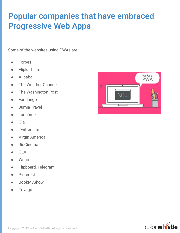## **Popular companies that have embraced Progressive Web Apps**

Some of the websites using PWAs are

- **Forbes**
- Flipkart Lite
- Alibaba
- The Weather Channel
- The Washington Post
- Fandango
- Jumia Travel
- Lancôme
- Ola
- **Twitter Lite**
- **Virgin America**
- JioCinema
- OLX
- Wego
- Flipboard, Telegram
- **Pinterest**
- BookMyShow
- Trivago.



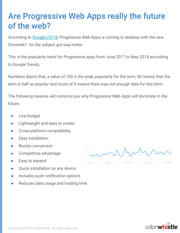### Are Progressive Web Apps really the future of the web?

According to [Google I/O 18](https://www.youtube.com/watch?v=NITk4kXMQDw), Progressive Web Apps is coming to desktop with the new Chrome67. So the subject got way hotter.

This is the popularity trend for Progressive apps from June 2017 to May 2018 according to Google Trends,

Numbers depict that, a value of 100 is the peak popularity for the term, 50 means that the term is half as popular and score of 0 means there was not enough data for this term.

The following reasons will convince you why Progressive Web Apps will dominate in the future.

- Low budget
- Lightweight and easy to create
- Cross-platform compatibility
- **Easy installation**
- **Boosts conversion**
- Competitive advantage
- Easy to expand
- Quick installation on any device
- Includes push notification options
- Reduces data usage and loading time



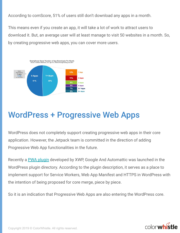According to comScore, 51% of users still don't download any apps in a month.

This means even if you create an app, it will take a lot of work to attract users to download it. But, an average user will at least manage to visit 50 websites in a month. So, by creating progressive web apps, you can cover more users.



### **WordPress + Progressive Web Apps**

WordPress does not completely support creating progressive web apps in their core application. However, the Jetpack team is committed in the direction of adding Progressive Web App functionalities in the future.

Recently a **PWA plugin** developed by XWP, Google And Automattic was launched in the WordPress plugin directory. According to the plugin description, it serves as a place to implement support for Service Workers, Web App Manifest and HTTPS in WordPress with the intention of being proposed for core merge, piece by piece.

So it is an indication that Progressive Web Apps are also entering the WordPress core.

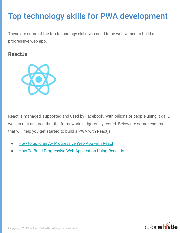# Top technology skills for PWA development

These are some of the top technology skills you need to be well versed to build a progressive web app.

### **ReactJs**



React is managed, supported and used by Facebook. With billions of people using it daily, we can rest assured that the framework is rigorously tested. Below are some resource that will help you get started to build a PWA with Reactjs

- [How to build an A+ Progressive Web App with React](https://medium.com/@applification/how-to-build-an-a-progressive-web-app-with-react-2c8a4d43ce6b)
- **[How To Build Progressive Web Application Using React Js](https://appdividend.com/2018/03/14/how-to-build-progressive-web-application-using-react-js/)**

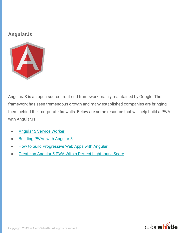### **AngularJs**



AngularJS is an open-source front-end framework mainly maintained by Google. The framework has seen tremendous growth and many established companies are bringing them behind their corporate firewalls. Below are some resource that will help build a PWA with AngularJs

- **[Angular 5 Service Worker](https://medium.com/codingthesmartway-com-blog/angular-5-service-worker-b722e571e306)**
- **[Building PWAs with Angular 5](https://www.codementor.io/antonihuguetvives/building-pwas-with-angular-5-gerfaz88x)**
- **[How to build Progressive Web Apps with Angular](https://scotch.io/tutorials/how-to-build-progressive-web-apps-with-angular)**
- [Create an Angular 5 PWA With a Perfect Lighthouse Score](https://dzone.com/articles/angular5-pwa-with-perfect-100-lighthouse-points)

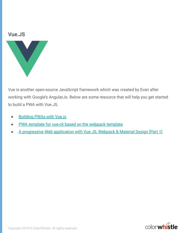#### **Vue.JS**



Vue is another open-source JavaScript framework which was created by Evan after working with Google's AngularJs. Below are some resource that will help you get started to build a PWA with Vue.JS.

- [Building PWAs with Vue.js](https://www.telerik.com/blogs/building-pwas-with-vuejs)
- [PWA template for vue-cli based on the webpack template](https://github.com/vuejs-templates/pwa)
- [A progressive Web application with Vue JS, Webpack & Material Design \[Part 1\]](https://blog.sicara.com/a-progressive-web-application-with-vue-js-webpack-material-design-part-1-c243e2e6e402)

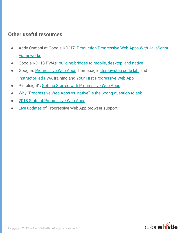### **Other useful resources**

- Addy Osmani at Google I/O '17: [Production Progressive Web Apps With JavaScript](https://www.youtube.com/watch?v=aCMbSyngXB4) **[Frameworks](https://www.youtube.com/watch?v=aCMbSyngXB4)**
- Google I/O '18 PWAs: [building bridges to mobile, desktop, and native](https://www.youtube.com/watch?v=NITk4kXMQDw)
- **•** Google's **Progressive Web Apps** homepage, [step-by-step code lab](https://developers.google.com/web/progressive-web-apps/), and [instructor-led PWA](https://developers.google.com/web/ilt/pwa/) training and [Your First Progressive Web App](https://developers.google.com/web/fundamentals/codelabs/your-first-pwapp/)
- Pluralsight's [Getting Started with Progressive Web Apps](https://www.pluralsight.com/courses/web-apps-progressive-getting-started)
- [Why "Progressive Web Apps vs. native" is the wrong question to ask](https://medium.com/dev-channel/why-progressive-web-apps-vs-native-is-the-wrong-question-to-ask-fb8555addcbb)
- [2018 State of Progressive Web Apps](https://medium.com/progressive-web-apps/2018-state-of-progressive-web-apps-f7517d43ba70)
- **[Live updates](https://vaadin.com/pwa/learn/browser-support) of Progressive Web App browser support**

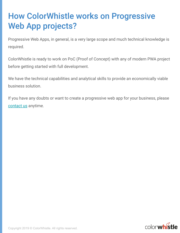# **How ColorWhistle works on Progressive Web App projects?**

Progressive Web Apps, in general, is a very large scope and much technical knowledge is required.

ColorWhistle is ready to work on PoC (Proof of Concept) with any of modern PWA project before getting started with full development.

We have the technical capabilities and analytical skills to provide an economically viable business solution.

If you have any doubts or want to create a progressive web app for your business, please [contact us](https://colorwhistle.com/request-a-quote/) anytime.